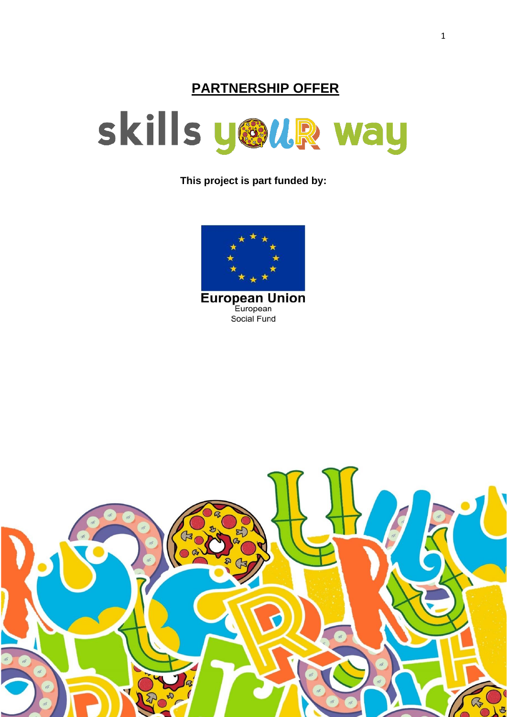# **PARTNERSHIP OFFER**



**This project is part funded by:**



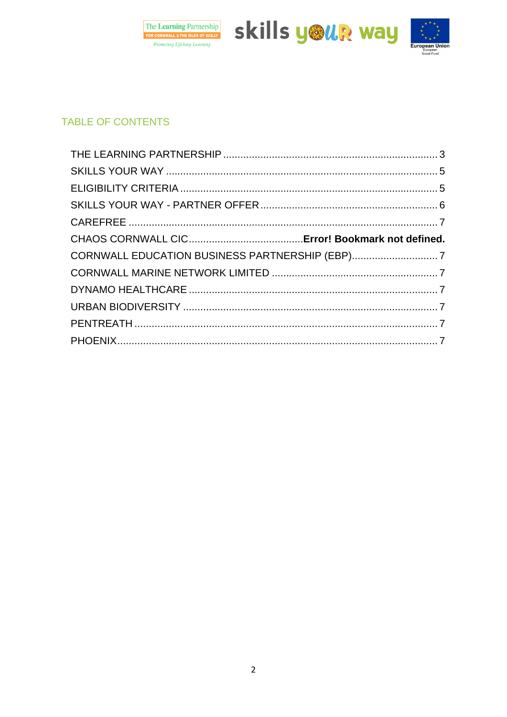





# **TABLE OF CONTENTS**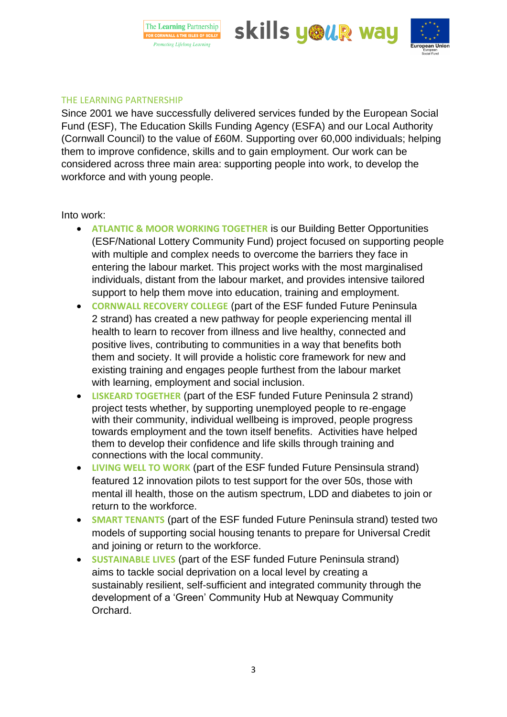The Learning Partnership FOR CORNWALL & THE ISLES OF SCILLY **Promoting Lifelong Learning** 

skills y®uR way



### <span id="page-2-0"></span>THE LEARNING PARTNERSHIP

Since 2001 we have successfully delivered services funded by the European Social Fund (ESF), The Education Skills Funding Agency (ESFA) and our Local Authority (Cornwall Council) to the value of £60M. Supporting over 60,000 individuals; helping them to improve confidence, skills and to gain employment. Our work can be considered across three main area: supporting people into work, to develop the workforce and with young people.

### Into work:

- **ATLANTIC & MOOR WORKING TOGETHER** is our Building Better Opportunities (ESF/National Lottery Community Fund) project focused on supporting people with multiple and complex needs to overcome the barriers they face in entering the labour market. This project works with the most marginalised individuals, distant from the labour market, and provides intensive tailored support to help them move into education, training and employment.
- **CORNWALL RECOVERY COLLEGE** (part of the ESF funded Future Peninsula 2 strand) has created a new pathway for people experiencing mental ill health to learn to recover from illness and live healthy, connected and positive lives, contributing to communities in a way that benefits both them and society. It will provide a holistic core framework for new and existing training and engages people furthest from the labour market with learning, employment and social inclusion.
- **LISKEARD TOGETHER** (part of the ESF funded Future Peninsula 2 strand) project tests whether, by supporting unemployed people to re-engage with their community, individual wellbeing is improved, people progress towards employment and the town itself benefits. Activities have helped them to develop their confidence and life skills through training and connections with the local community.
- **LIVING WELL TO WORK** (part of the ESF funded Future Pensinsula strand) featured 12 innovation pilots to test support for the over 50s, those with mental ill health, those on the autism spectrum, LDD and diabetes to join or return to the workforce.
- **SMART TENANTS** (part of the ESF funded Future Peninsula strand) tested two models of supporting social housing tenants to prepare for Universal Credit and joining or return to the workforce.
- **SUSTAINABLE LIVES** (part of the ESF funded Future Peninsula strand) aims to tackle social deprivation on a local level by creating a sustainably resilient, self-sufficient and integrated community through the development of a 'Green' Community Hub at Newquay Community Orchard.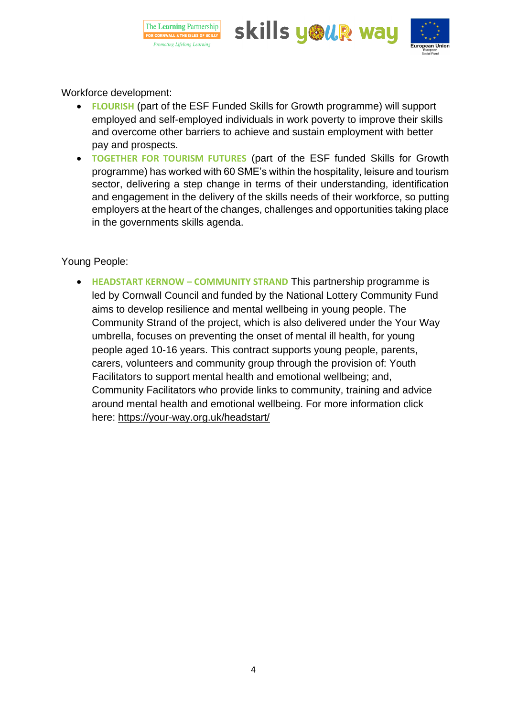





Workforce development:

- **FLOURISH** (part of the ESF Funded Skills for Growth programme) will support employed and self-employed individuals in work poverty to improve their skills and overcome other barriers to achieve and sustain employment with better pay and prospects.
- **TOGETHER FOR TOURISM FUTURES** (part of the ESF funded Skills for Growth programme) has worked with 60 SME's within the hospitality, leisure and tourism sector, delivering a step change in terms of their understanding, identification and engagement in the delivery of the skills needs of their workforce, so putting employers at the heart of the changes, challenges and opportunities taking place in the governments skills agenda.

# Young People:

• **HEADSTART KERNOW – COMMUNITY STRAND** This partnership programme is led by Cornwall Council and funded by the National Lottery Community Fund aims to develop resilience and mental wellbeing in young people. The Community Strand of the project, which is also delivered under the Your Way umbrella, focuses on preventing the onset of mental ill health, for young people aged 10-16 years. This contract supports young people, parents, carers, volunteers and community group through the provision of: Youth Facilitators to support mental health and emotional wellbeing; and, Community Facilitators who provide links to community, training and advice around mental health and emotional wellbeing. For more information click here:<https://your-way.org.uk/headstart/>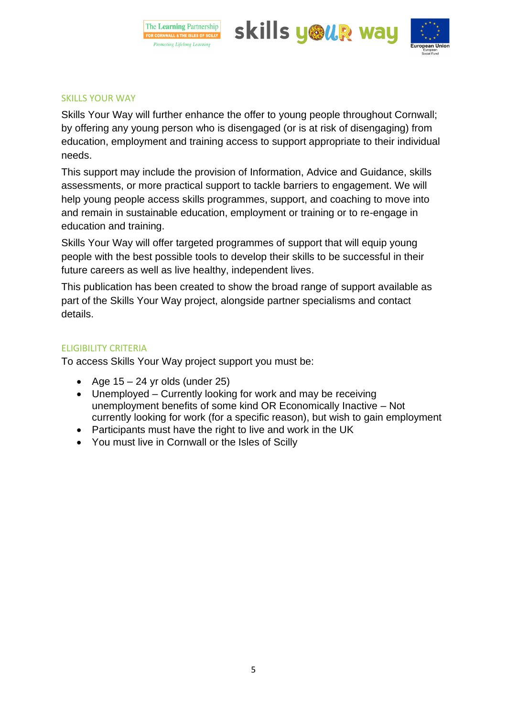





#### <span id="page-4-0"></span>SKILLS YOUR WAY

Skills Your Way will further enhance the offer to young people throughout Cornwall; by offering any young person who is disengaged (or is at risk of disengaging) from education, employment and training access to support appropriate to their individual needs.

This support may include the provision of Information, Advice and Guidance, skills assessments, or more practical support to tackle barriers to engagement. We will help young people access skills programmes, support, and coaching to move into and remain in sustainable education, employment or training or to re-engage in education and training.

Skills Your Way will offer targeted programmes of support that will equip young people with the best possible tools to develop their skills to be successful in their future careers as well as live healthy, independent lives.

This publication has been created to show the broad range of support available as part of the Skills Your Way project, alongside partner specialisms and contact details.

### <span id="page-4-1"></span>ELIGIBILITY CRITERIA

To access Skills Your Way project support you must be:

- Age  $15 24$  yr olds (under  $25$ )
- Unemployed Currently looking for work and may be receiving unemployment benefits of some kind OR Economically Inactive – Not currently looking for work (for a specific reason), but wish to gain employment
- Participants must have the right to live and work in the UK
- You must live in Cornwall or the Isles of Scilly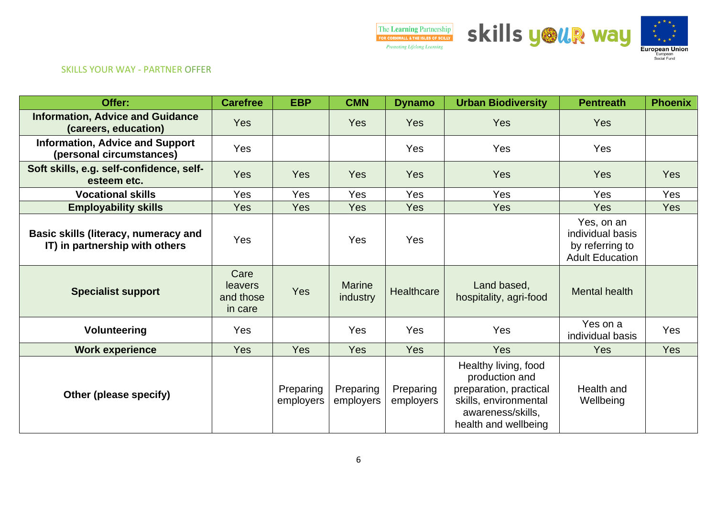

#### SKILLS YOUR WAY - PARTNER OFFER

<span id="page-5-0"></span>

| Offer:                                                                 | <b>Carefree</b>                                | <b>EBP</b>             | <b>CMN</b>                | <b>Dynamo</b>          | <b>Urban Biodiversity</b>                                                                                                              | <b>Pentreath</b>                                                            | <b>Phoenix</b> |
|------------------------------------------------------------------------|------------------------------------------------|------------------------|---------------------------|------------------------|----------------------------------------------------------------------------------------------------------------------------------------|-----------------------------------------------------------------------------|----------------|
| <b>Information, Advice and Guidance</b><br>(careers, education)        | Yes                                            |                        | <b>Yes</b>                | Yes                    | <b>Yes</b>                                                                                                                             | <b>Yes</b>                                                                  |                |
| <b>Information, Advice and Support</b><br>(personal circumstances)     | Yes                                            |                        |                           | Yes                    | Yes                                                                                                                                    | Yes                                                                         |                |
| Soft skills, e.g. self-confidence, self-<br>esteem etc.                | Yes                                            | <b>Yes</b>             | Yes                       | Yes                    | <b>Yes</b>                                                                                                                             | <b>Yes</b>                                                                  | <b>Yes</b>     |
| <b>Vocational skills</b>                                               | Yes                                            | Yes                    | Yes                       | Yes                    | Yes                                                                                                                                    | Yes                                                                         | Yes            |
| <b>Employability skills</b>                                            | Yes                                            | <b>Yes</b>             | Yes                       | Yes                    | Yes                                                                                                                                    | Yes                                                                         | Yes            |
| Basic skills (literacy, numeracy and<br>IT) in partnership with others | Yes                                            |                        | Yes                       | Yes                    |                                                                                                                                        | Yes, on an<br>individual basis<br>by referring to<br><b>Adult Education</b> |                |
| <b>Specialist support</b>                                              | Care<br><b>leavers</b><br>and those<br>in care | <b>Yes</b>             | <b>Marine</b><br>industry | <b>Healthcare</b>      | Land based,<br>hospitality, agri-food                                                                                                  | Mental health                                                               |                |
| <b>Volunteering</b>                                                    | Yes                                            |                        | Yes                       | Yes                    | Yes                                                                                                                                    | Yes on a<br>individual basis                                                | Yes            |
| <b>Work experience</b>                                                 | Yes                                            | <b>Yes</b>             | <b>Yes</b>                | <b>Yes</b>             | <b>Yes</b>                                                                                                                             | <b>Yes</b>                                                                  | <b>Yes</b>     |
| Other (please specify)                                                 |                                                | Preparing<br>employers | Preparing<br>employers    | Preparing<br>employers | Healthy living, food<br>production and<br>preparation, practical<br>skills, environmental<br>awareness/skills,<br>health and wellbeing | Health and<br>Wellbeing                                                     |                |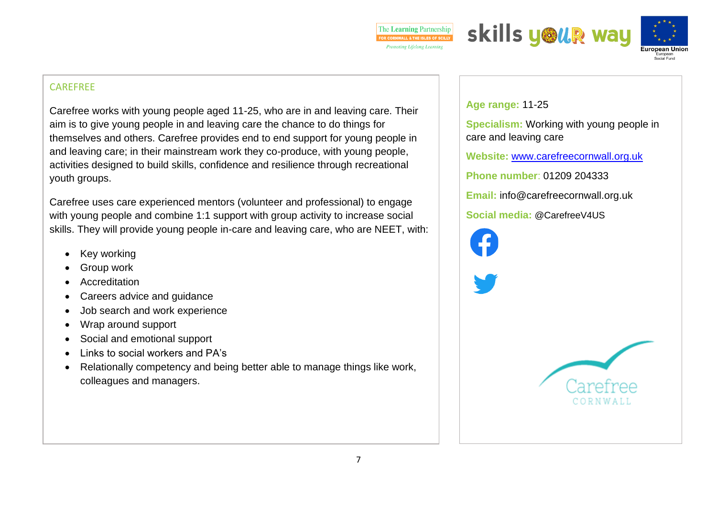





# **CAREFREE**

Carefree works with young people aged 11-25, who are in and leaving care. Their aim is to give young people in and leaving care the chance to do things for themselves and others. Carefree provides end to end support for young people in and leaving care; in their mainstream work they co-produce, with young people, activities designed to build skills, confidence and resilience through recreational youth groups.

Carefree uses care experienced mentors (volunteer and professional) to engage with young people and combine 1:1 support with group activity to increase social skills. They will provide young people in-care and leaving care, who are NEET, with:

- Key working
- Group work
- **Accreditation**
- Careers advice and guidance
- Job search and work experience
- Wrap around support
- Social and emotional support
- Links to social workers and PA's
- Relationally competency and being better able to manage things like work, colleagues and managers.

**Age range:** 11-25

**Specialism:** Working with young people in care and leaving care

**Website:** [www.carefreecornwall.org.uk](http://www.carefreecornwall.org.uk/)

**Phone number**: 01209 204333

**Email:** info@carefreecornwall.org.uk

**Social media:** @CarefreeV4US

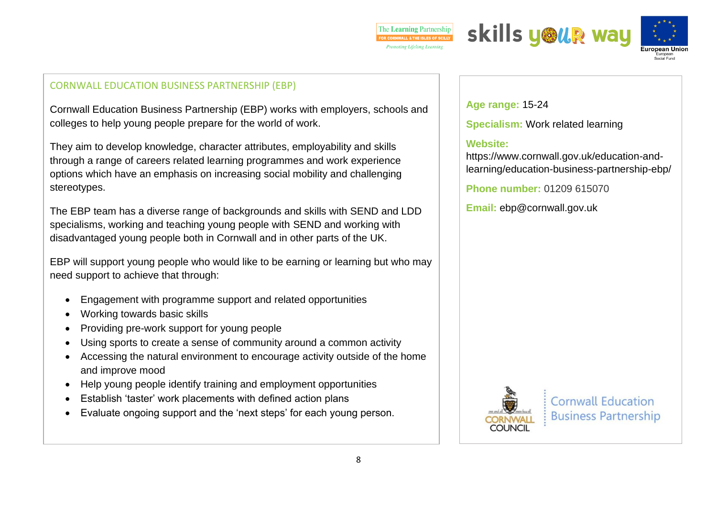





#### CORNWALL EDUCATION BUSINESS PARTNERSHIP (EBP)

Cornwall Education Business Partnership (EBP) works with employers, schools and colleges to help young people prepare for the world of work.

They aim to develop knowledge, character attributes, employability and skills through a range of careers related learning programmes and work experience options which have an emphasis on increasing social mobility and challenging stereotypes.

The EBP team has a diverse range of backgrounds and skills with SEND and LDD specialisms, working and teaching young people with SEND and working with disadvantaged young people both in Cornwall and in other parts of the UK.

EBP will support young people who would like to be earning or learning but who may need support to achieve that through:

- Engagement with programme support and related opportunities
- Working towards basic skills
- Providing pre-work support for young people
- Using sports to create a sense of community around a common activity
- Accessing the natural environment to encourage activity outside of the home and improve mood
- Help young people identify training and employment opportunities
- Establish 'taster' work placements with defined action plans
- Evaluate ongoing support and the 'next steps' for each young person.

**Age range:** 15-24

**Specialism:** Work related learning

# **Website:**

https://www.cornwall.gov.uk/education-andlearning/education-business-partnership-ebp/

**Phone number:** 01209 615070

**Email:** ebp@cornwall.gov.uk



**Cornwall Education Business Partnership**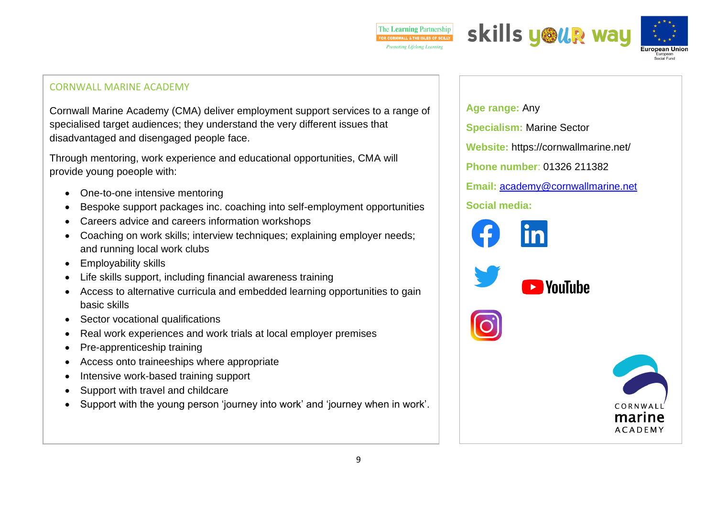





## CORNWALL MARINE ACADEMY

Cornwall Marine Academy (CMA) deliver employment support services to a range of specialised target audiences; they understand the very different issues that disadvantaged and disengaged people face.

Through mentoring, work experience and educational opportunities, CMA will provide young poeople with:

- One-to-one intensive mentoring
- Bespoke support packages inc. coaching into self-employment opportunities
- Careers advice and careers information workshops
- Coaching on work skills: interview techniques: explaining employer needs: and running local work clubs
- Employability skills
- Life skills support, including financial awareness training
- Access to alternative curricula and embedded learning opportunities to gain basic skills
- Sector vocational qualifications
- Real work experiences and work trials at local employer premises
- Pre-apprenticeship training
- Access onto traineeships where appropriate
- Intensive work-based training support
- Support with travel and childcare
- Support with the young person 'journey into work' and 'journey when in work'.

**Age range:** Any **Specialism:** Marine Sector **Website:** https://cornwallmarine.net/ **Phone number**: 01326 211382 **Email:** [academy@cornwallmarine.net](mailto:academy@cornwallmarine.net) **Social media: N**ouTuhe marine **ACADEMY**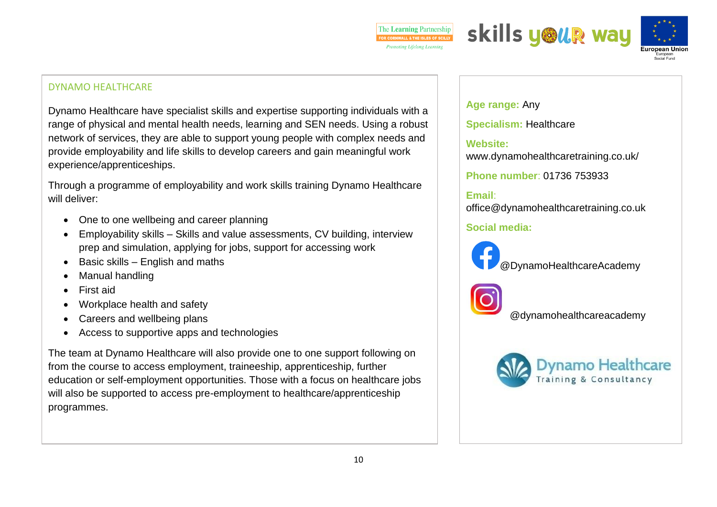





## DYNAMO HEALTHCARE

Dynamo Healthcare have specialist skills and expertise supporting individuals with a range of physical and mental health needs, learning and SEN needs. Using a robust network of services, they are able to support young people with complex needs and provide employability and life skills to develop careers and gain meaningful work experience/apprenticeships.

Through a programme of employability and work skills training Dynamo Healthcare will deliver:

- One to one wellbeing and career planning
- Employability skills Skills and value assessments, CV building, interview prep and simulation, applying for jobs, support for accessing work
- Basic skills English and maths
- Manual handling
- First aid
- Workplace health and safety
- Careers and wellbeing plans
- Access to supportive apps and technologies

The team at Dynamo Healthcare will also provide one to one support following on from the course to access employment, traineeship, apprenticeship, further education or self-employment opportunities. Those with a focus on healthcare jobs will also be supported to access pre-employment to healthcare/apprenticeship programmes.

**Age range:** Any **Specialism:** Healthcare **Website:**  www.dynamohealthcaretraining.co.uk/

**Phone number**: 01736 753933

# **Email**:

office@dynamohealthcaretraining.co.uk

# **Social media:**



[@](https://www.facebook.com/DynamoHealthcareAcademy/)DynamoHealthcareAcademy



@dynamohealthcareacademy

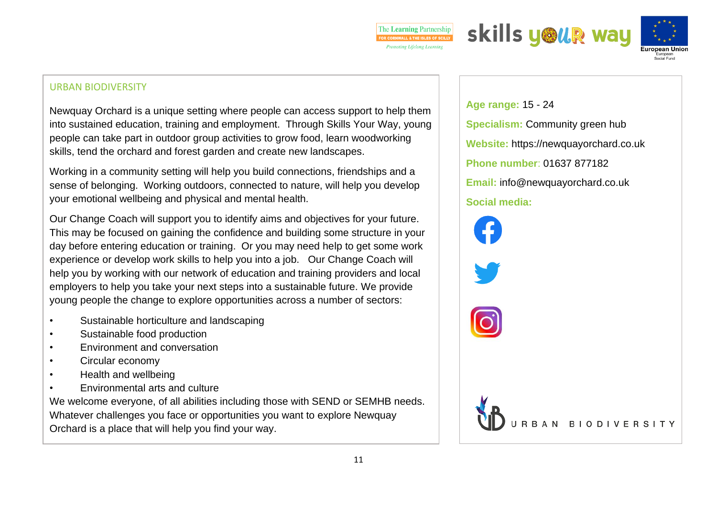





# $\blacksquare$  **PHOENIXERSITY Age range:**  $\blacksquare$

Newquay Orchard is a unique setting where people can access support to help them into sustained education, training and employment. Through Skills Your Way, young people can take part in outdoor group activities to grow food, learn woodworking skills, tend the orchard and forest garden and create new landscapes.

Working in a community setting will help you build connections, friendships and a sense of belonging. Working outdoors, connected to nature, will help you develop your emotional wellbeing and physical and mental health.

Our Change Coach will support you to identify aims and objectives for your future. This may be focused on gaining the confidence and building some structure in your day before entering education or training. Or you may need help to get some work experience or develop work skills to help you into a job. Our Change Coach will help you by working with our network of education and training providers and local employers to help you take your next steps into a sustainable future. We provide young people the change to explore opportunities across a number of sectors:

- Sustainable horticulture and landscaping
- Sustainable food production
- Environment and conversation
- Circular economy
- Health and wellbeing
- Environmental arts and culture

We welcome everyone, of all abilities including those with SEND or SEMHB needs. Whatever challenges you face or opportunities you want to explore Newquay Orchard is a place that will help you find your way.

**Specialism: Age range:** 15 - 24 **Specialism: Community green hub** Website: https://newquayorchard.co.uk **Social media: Phone number**: 01637 877182 **Email:** info@newquayorchard.co.uk **Social media:**

RBAN BIODIVERSITY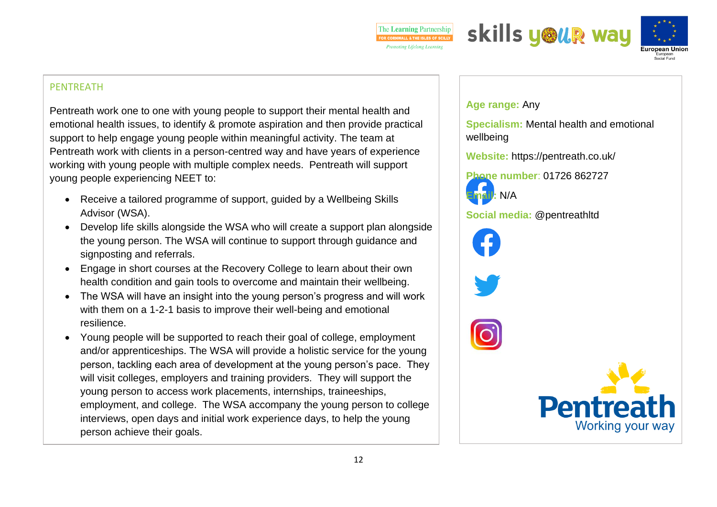





### PENTREATH

Pentreath work one to one with young people to support their mental health and emotional health issues, to identify & promote aspiration and then provide practical support to help engage young people within meaningful activity. The team at Pentreath work with clients in a person-centred way and have years of experience working with young people with multiple complex needs. Pentreath will support young people experiencing NEET to:

- Receive a tailored programme of support, guided by a Wellbeing Skills Advisor (WSA).
- Develop life skills alongside the WSA who will create a support plan alongside the young person. The WSA will continue to support through guidance and signposting and referrals.
- Engage in short courses at the Recovery College to learn about their own health condition and gain tools to overcome and maintain their wellbeing.
- The WSA will have an insight into the young person's progress and will work with them on a 1-2-1 basis to improve their well-being and emotional resilience.
- Young people will be supported to reach their goal of college, employment and/or apprenticeships. The WSA will provide a holistic service for the young person, tackling each area of development at the young person's pace. They will visit colleges, employers and training providers. They will support the young person to access work placements, internships, traineeships, employment, and college. The WSA accompany the young person to college interviews, open days and initial work experience days, to help the young person achieve their goals.